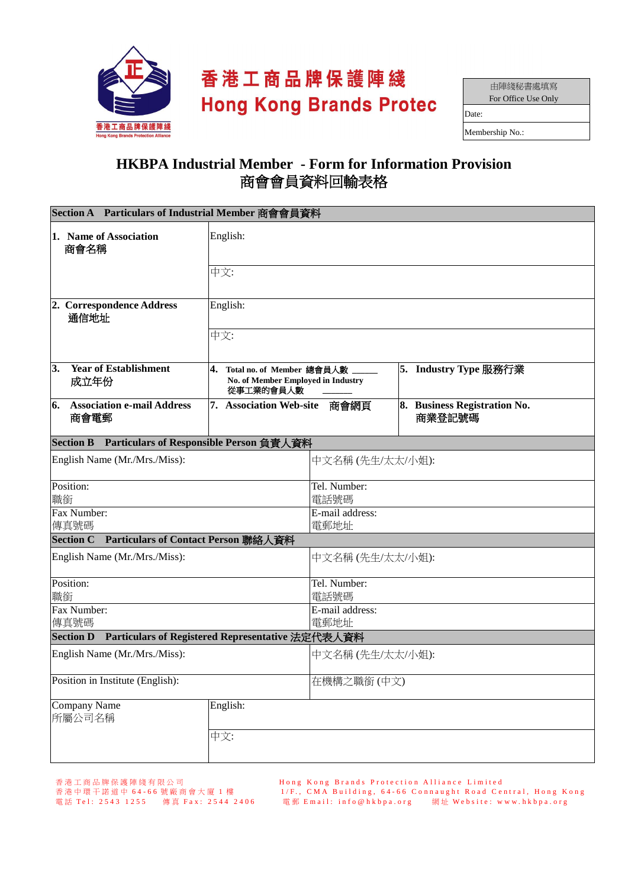

## 香港工商品牌保護陣綫 **Hong Kong Brands Protec**

| 由陣綫秘書處填寫            |  |  |  |  |
|---------------------|--|--|--|--|
| For Office Use Only |  |  |  |  |
| Date:               |  |  |  |  |
| Membership No.:     |  |  |  |  |

## **HKBPA Industrial Member - Form for Information Provision**  商會會員資料回輸表格

| Section A Particulars of Industrial Member 商會會員資料                    |                                                                                 |                                       |  |                                        |  |  |
|----------------------------------------------------------------------|---------------------------------------------------------------------------------|---------------------------------------|--|----------------------------------------|--|--|
| 1. Name of Association<br>商會名稱                                       | English:                                                                        |                                       |  |                                        |  |  |
|                                                                      | 中文:                                                                             |                                       |  |                                        |  |  |
| 2. Correspondence Address<br>通信地址                                    | English:<br>中文:                                                                 |                                       |  |                                        |  |  |
|                                                                      |                                                                                 |                                       |  |                                        |  |  |
| 3.<br><b>Year of Establishment</b><br>成立年份                           | 4. Total no. of Member 總會員人數<br>No. of Member Employed in Industry<br>從事工業的會員人數 |                                       |  | 5. Industry Type 服務行業                  |  |  |
| <b>Association e-mail Address</b><br>6.<br>商會電郵                      | 7. Association Web-site<br>商會網頁                                                 |                                       |  | 8. Business Registration No.<br>商業登記號碼 |  |  |
| <b>Section B</b>                                                     | Particulars of Responsible Person 負責人資料                                         |                                       |  |                                        |  |  |
| English Name (Mr./Mrs./Miss):                                        |                                                                                 | 中文名稱(先生/太太/小姐):                       |  |                                        |  |  |
| Position:<br>職銜                                                      |                                                                                 | Tel. Number:<br>電話號碼                  |  |                                        |  |  |
| Fax Number:<br>傳真號碼                                                  |                                                                                 | E-mail address:<br>電郵地址               |  |                                        |  |  |
| Section C Particulars of Contact Person 聯絡人資料                        |                                                                                 |                                       |  |                                        |  |  |
| English Name (Mr./Mrs./Miss):                                        |                                                                                 | 中文名稱(先生/太太/小姐):                       |  |                                        |  |  |
| Position:<br>職銜                                                      |                                                                                 | Tel. Number:<br>電話號碼                  |  |                                        |  |  |
| Fax Number:<br>傳真號碼                                                  |                                                                                 | $\overline{E}$ -mail address:<br>電郵地址 |  |                                        |  |  |
| Particulars of Registered Representative 法定代表人資料<br><b>Section D</b> |                                                                                 |                                       |  |                                        |  |  |
| English Name (Mr./Mrs./Miss):                                        |                                                                                 | 中文名稱(先生/太太/小姐):                       |  |                                        |  |  |
| Position in Institute (English):                                     |                                                                                 | 在機構之職銜 (中文)                           |  |                                        |  |  |
| Company Name<br>所屬公司名稱                                               | English:                                                                        |                                       |  |                                        |  |  |
|                                                                      | 中文:                                                                             |                                       |  |                                        |  |  |

香 港 工 商 品 牌 保 護 陣 綫 有 限 公 司 H o n g K o n g B r a n d s P r o t e c t i o n A l l i a n c e L i m i t e d 香 港 中 環 干 諾 道 中 6 4 - 6 6 號 廠 商 會 大 廈 1 樓 1 / F . , C M A B u i l d i n g , 6 4 - 6 6 C o n n a u g h t R o a d C e n t r a l , H o n g K o n g 電 話 T e l : 2 5 4 3 1 2 5 5 傳 真 F a x : 2 5 4 4 2 4 0 6 電 郵 E m a i l : i n f o @ h k b p a . o r g 網 址 W e b s i t e : w w w . h k b p a . o r g